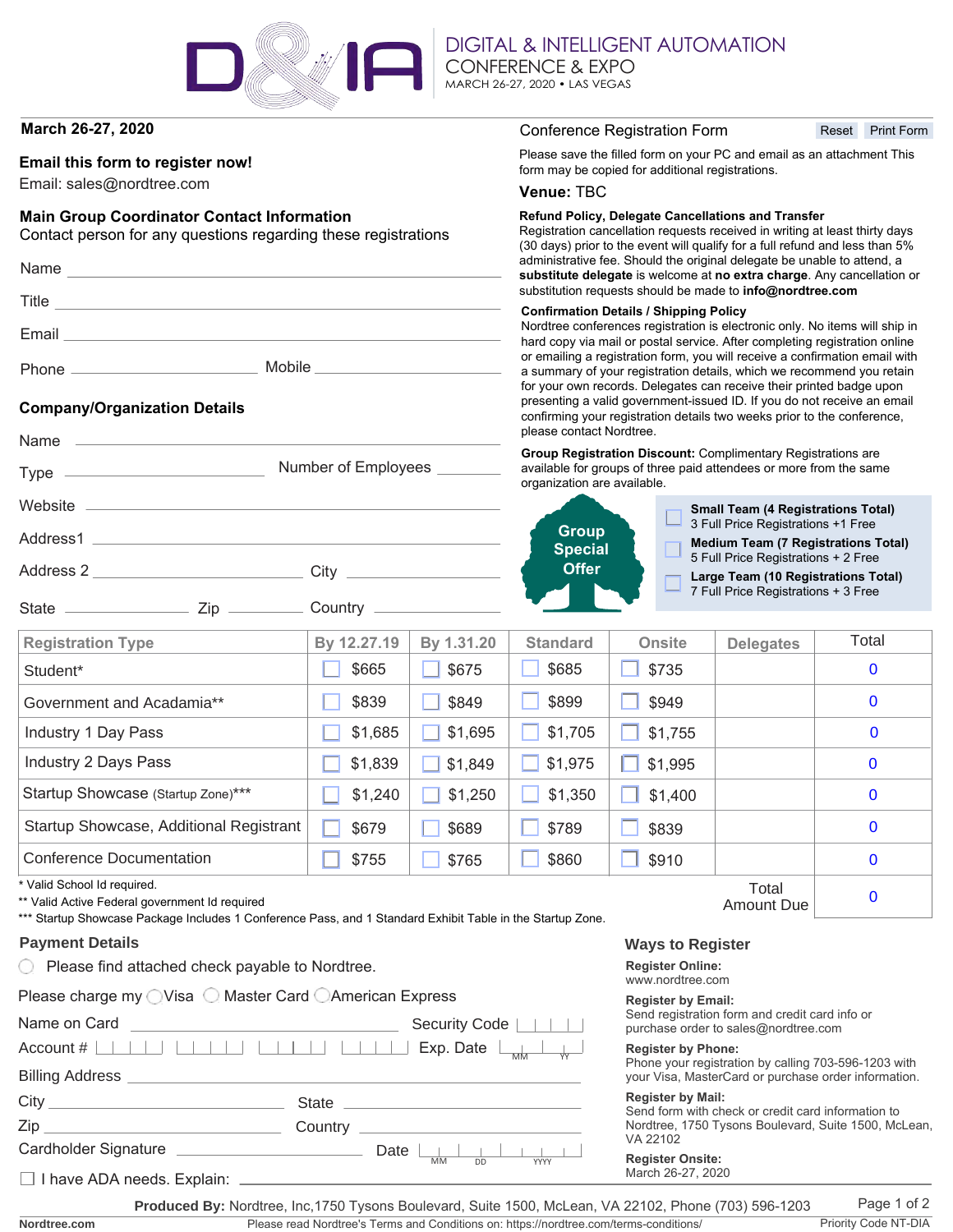

Number of Employees

DIGITAL & INTELLIGENT AUTOMATION CONFERENCE & EXPO MARCH 26-27, 2020 • LAS VEGAS

## **March 26-27, 2020**

## **Email this form to register now!**

Email: sales@nordtree.com

## **Main Group Coordinator Contact Information**

Address 2 \_\_\_\_\_\_\_\_\_\_\_\_\_\_\_\_\_\_\_\_\_\_\_\_\_\_\_\_\_\_\_ City

State \_\_\_\_\_\_\_\_\_\_\_\_\_\_\_\_\_\_\_\_\_ Zip \_\_\_\_\_\_\_\_\_\_\_\_ Country

Contact person for any questions regarding these registrations

| Name         |        |
|--------------|--------|
| <b>Title</b> |        |
| Email        |        |
| Phone        | Mobile |

## **Company/Organization Details**

Name

 $Type -$ 

Website \_

Address1

#### Conference Registration Form

Reset Print Form

Please save the filled form on your PC and email as an attachment This form may be copied for additional registrations.

### **Venue:** TBC

#### **Refund Policy, Delegate Cancellations and Transfer**

Registration cancellation requests received in writing at least thirty days (30 days) prior to the event will qualify for a full refund and less than 5% administrative fee. Should the original delegate be unable to attend, a **substitute delegate** is welcome at **no extra charge**. Any cancellation or substitution requests should be made to **info@nordtree.com**

#### **Confirmation Details / Shipping Policy**

Nordtree conferences registration is electronic only. No items will ship in hard copy via mail or postal service. After completing registration online or emailing a registration form, you will receive a confirmation email with a summary of your registration details, which we recommend you retain for your own records. Delegates can receive their printed badge upon presenting a valid government-issued ID. If you do not receive an email confirming your registration details two weeks prior to the conference, please contact Nordtree.

**Group Registration Discount:** Complimentary Registrations are available for groups of three paid attendees or more from the same organization are available.



**Small Team (4 Registrations Total)** 3 Full Price Registrations +1 Free

**Medium Team (7 Registrations Total)**

5 Full Price Registrations + 2 Free

**Large Team (10 Registrations Total)**

7 Full Price Registrations + 3 Free

| <b>Registration Type</b>                | By 12.27.19 | By 1.31.20 | <b>Standard</b> | <b>Onsite</b> | <b>Delegates</b> | Total       |
|-----------------------------------------|-------------|------------|-----------------|---------------|------------------|-------------|
| Student*                                | \$665       | \$675      | \$685           | \$735         |                  | $\mathbf 0$ |
| Government and Acadamia**               | \$839       | \$849      | \$899           | \$949         |                  | $\mathbf 0$ |
| Industry 1 Day Pass                     | \$1,685     | \$1,695    | \$1,705         | \$1,755       |                  | $\bf{0}$    |
| Industry 2 Days Pass                    | \$1,839     | \$1,849    | \$1,975         | \$1,995       |                  | $\mathbf 0$ |
| Startup Showcase (Startup Zone)***      | \$1,240     | \$1,250    | \$1,350         | \$1,400       |                  | $\mathbf 0$ |
| Startup Showcase, Additional Registrant | \$679       | \$689      | \$789           | \$839         |                  | $\mathbf 0$ |
| Conference Documentation                | \$755       | \$765      | \$860           | \$910         |                  | $\mathbf 0$ |
| * Valid School Id required.<br>Total    |             |            |                 |               |                  |             |

Valid School Id required.

\*\* Valid Active Federal government Id required

\*\*\* Startup Showcase Package Includes 1 Conference Pass, and 1 Standard Exhibit Table in the Startup Zone.

#### **Payment Details**

 $\bigcirc$  Please find attached check payable to Nordtree.

|  |  |  | Please charge my ◯ Visa ◯ Master Card ◯ American Express |
|--|--|--|----------------------------------------------------------|
|--|--|--|----------------------------------------------------------|

| Name on Card                                                         | Security Code $\vert \vert \vert \vert \vert \vert$                                                                 |
|----------------------------------------------------------------------|---------------------------------------------------------------------------------------------------------------------|
|                                                                      |                                                                                                                     |
|                                                                      |                                                                                                                     |
|                                                                      |                                                                                                                     |
|                                                                      |                                                                                                                     |
| Cardholder Signature                                                 | Date $\vert \vert \vert$ $\vert \vert$ $\vert \vert$ $\vert \vert$ $\vert \vert$<br><b>MM</b><br>DD.<br><b>YYYY</b> |
| □ I have ADA needs. Explain: <u>________________________________</u> |                                                                                                                     |

### **Ways to Register**

**Register Online:**

www.nordtree.com

#### **Register by Email:**

Send registration form and credit card info or purchase order to sales@nordtree.com

#### **Register by Phone:**

Phone your registration by calling 703-596-1203 with your Visa, MasterCard or purchase order information.

Amount Due

#### **Register by Mail:**

Send form with check or credit card information to Nordtree, 1750 Tysons Boulevard, Suite 1500, McLean, VA 22102

# **Register Onsite:**

March 26-27, 2020

**Nordtree.com**

Please read Nordtree's Terms and Conditions on: https://nordtree.com/terms-conditions/ Priority Code NT-DIA **Produced By:** Nordtree, Inc,1750 Tysons Boulevard, Suite 1500, McLean, VA 22102, Phone (703) 596-1203

 $\Omega$